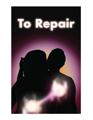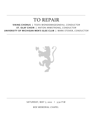# TO REPAIR

**VIKING CHORUS |** TESFA WONDEMAGEGNEHU, *CONDUCTOR* **ST. OLAF CHOIR |** ANTON ARMSTRONG, *CONDUCTOR* **UNIVERSITY OF MICHIGAN MEN'S GLEE CLUB |** MARK STOVER, *CONDUCTOR*



SATURDAY, MAY 7, 2022 | 3:30 P.M

*BOE MEMORIAL CHAPEL*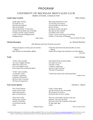## PROGRAM

## UNIVERSITY OF MICHIGAN MEN'S GLEE CLUB MARK STOVER, *CONDUCTOR*

#### **Laudes atque Carmina** Albert Stanley and Albert Stanley and Albert Stanley and Albert Stanley and Albert Stanley

*Nec hodie nec cras, Sed omnia per tempora, Dum locum habeas, Tibi sint dulcissima, O Universitas; At hostes Pol, perniciter eant eis korakas. O Gloria, Victoria, O decus omnium, O salve Universitas Michiganensium, Michiganensium.*

*— Albert Stanley*

### **Christus Resurgens** arr. Michael McGlynn

John Marinan and Carter Krumins, *percussion*

*Christus resurgens ex mortuis, jam non moritur, alleluia Mors illi ultra non dominabitur alleluia*

"Truth," said a traveller, "Is a rock, a mighty fortress; Often have I been to it, Even to its highest tower, From whence the world looks black."

"Truth," said a traveller, "Is a breath, a wind, A shadow, a phantom; Long have I pursued it, But never have I touched The hem of its garment."

### **Veni Creator Spiritus** Timothy C. Takach

*Veni, Creator Spiritus, mentes tuorum visita, imple superna gratia quae tu creasti pectora.*

*Gloria Patri et Filio, Natoque qui a mortuis surrexit, ac Paraclito, in saeculorum saecula. Amen.*

And I believed the second traveller; For truth was to me A breath, a wind, A shadow, a phantom, And never had I touched The hem of its garment.

"Truth from whence the world looks black."

— *Stephen Crane*

Come, Creator Spirit, visit the minds of your own people, fill with grace from above the hearts that you have created.

Glory be to the Father and also to the Son, begotten, who from the dead has risen, and to the Comforter Holy Spirit, for ages upon ages. Amen.

*—Trans. by Anne Groton*

*Laudes atque carmina,* May songs and praises to you, O University, be sweetest, Not just today nor tomorrow,

But for all time, So long as you have the place. But may our foes, indeed, Go swiftly to the crows! O glory, victory, and virtue of everything; Prosper, O University of Michigan.

*— Trans. by Charles M. Gayley*

Christ has arisen from the dead and dies no more, alleluia Death will no longer have dominion over Him alleluia *— Irish chant*

**Truth** Connor Koppin

Unauthorized photography or video/audio recording is prohibited. This concert is archived at http://www.stolaf.edu/multimedia. Please silence your cell phone or other personal communication devices. All texts/translations reprinted with permission from ONE LICENSE, License #A-700000.

*— Rabanus Maurus*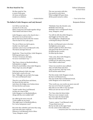*Die Rose stand im Tau, es waren Perlen grau; Als Sonne sie beshienen, wurden sie zu Rubinen.*

*— Friedrich Rückert*

### **The Ballad of Little Musgrave and Lady Barnard Benjamin Britten** Benjamin Britten

As it fell on one holy-day, As many be in the year, When young men and maids together did go Their matins and mass to hear,

Little Musgrave came to the church-door — The priest was at private mass — But he had more mind of the fair women Then he had of Our Lady's grace.

The one of them was clad in green, Another was clad in pall, And then came in my Lord Barnard's wife, The fairest amongst them all.

Quoth she, "I have loved thee, Little Musgrave, Full long and many a day." — "So have I loved you, fair ladye, Yet never word durst I say." -

"But I have a bower at Bucklesfordberry, Full daintily it is dight; If thou'lt wend thither, thou Little Musgrave, Thou's lig in my arms all night."

With that beheard a little tiny page, By his lady's coach as he ran. Says, "Although I am my lady's foot-page, Yet I am Lord Barnard's man."

Then he's cast off his hose and shoon, Set down his feet and ran, And where the bridges were broken down He bent his bow and swam.

"Awake! awake! thou Lord Barnard, As thou art a man of life! Little Musgrave is at Bucklesfordberry Along with thy own wedded wife!"

He callèd up his merry men all: "Come saddle me my steed; This night must I to Bucklesfordberry, For I never had greater need."

But some they whistled, and some they sung, And some they thus could say, Whenever Lord Barnard's horn it blew: "Away, Musgrave, away!"

The rose was moist with dew, Grey pearls in early dawn. When sunlight fell upon them, All the pearls turned to rubies.

*— Trans. by Kurt Stone*

"Methinks I hear the threstle-cock, Methinks I hear the jay; Methinks I hear Lord Barnard's horn, Away, Musgrave, away!"

"Lie still, lie still, thou little Musgrave, And huggle me from the cold; "Tis nothing but a shepherd's boy A-driving his sheep to the fold."

By this, Lord Barnard came to his door And lighted a stone upon; And he's pull'd out three silver keys, And open'd the doors each one. He lifted up the coverlet, He lifted up the sheet:

"Arise, arise, thou Little Musgrave, And put thy clothès on; It shall ne'er be said in my country I have killed a naked man."

"I have two swords in one scabbard, They are both sharp and clear; Take you the best, and I the worst, We'll end the matter here."

The first stroke Little Musgrave struck, He hurt Lord Barnard sore; The next stroke that Lord Barnard struck, Little Musgrave ne'er struck more.

"Woe worth you, woe worth, my merry men all, You were ne'er born for my good! Why did you not offer to stay my hand When you saw me wax so wood?

"For I have slain the fairest ladye That ever wore woman's weed, Soe I have slain the fairest ladye That ever did woman's deed.

"A grave, a grave," Lord Barnard cried, "To put these lovers in! But lay my lady on the upper hand, For she comes of the nobler kin." — *Anonymous* (*from* The Oxford Book of Ballads)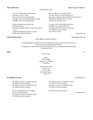Fare you well my dear I must be gone

Though I roam ten thousand miles, my dear

But I never will prove false to the bonney lass I

If I roam away I'll come back again

Though I roam ten thousand miles

So fair though art my bonney lass

Till the stars fall from the sky my dear

Till the stars fall from the sky

And leave you for a while

So deep in love as I

love

Jordan Lippert, *tenor*

**The Turtle Dove Ralph Vaughan Williams Ralph Vaughan Williams Ralph Vaughan Williams** 

The sea will never run dry my dear Nor the rocks never melt with the sun But I never will prove false to the bonney lass I love Till all these things be done my dear Till all these things be done

O yonder doth sit that little turtle dove He doth sit on yonder high tree A-making a moan for the loss of his love As I will do for thee my dear As I will do for thee

— *English folk song*

**The Word Was God** Rosephanye Powell

Bryan Iljames, *assistant conductor*

In the beginning was the Word, and the Word was with God, and the Word was God. The same was in the beginning with God. All things were made by him; and without him was not any thing made that was made. *— Rosephanye Powell*

**MLK** U2

#### ft. The Friars

Sleep Sleep tonight And may your dreams Be realized

If the thundercloud Passes rain So let it rain Rain down on me *— Bono (U2)*

### **We Shall Overcome** Uzee Brown Jr.

We shall overcome, we shall overcome, We shall overcome someday, Oh deep in my heart, I do believe that We shall overcome someday.

We are not afraid, we are not afraid, We are not afraid today; Oh deep in my heart, I do believe that We shall overcome someday.

We shall overcome, we shall overcome, We shall overcome someday, Oh deep in my heart, I do believe that We shall overcome someday.

We shall overcome someday!

*— Civil rights anthem*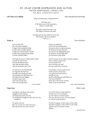### ST. OLAF CHOIR (SOPRANOS AND ALTOS) ANTON ARMSTRONG, *CONDUCTOR* Elsa Buck, collaborative pianist

#### **Lift Thine Eyes (***Elijah***)** Felix Mendelssohn Bartholdy

#### *Sung in loving memory of Sigrid Johnson*

Lift thine eyes, O lift thine eyes to the mountains, whence cometh help.

Thy help cometh from the Lord, The Maker of heaven and earth.

He hath said, thy foot shall not be moved. Thy Keeper will never slumber. — *Psalm 121:1–3*

### **Psalm 23** Franz Schubert

*Gott ist mein Hirt, Mir wird nichts mangeln, Er lagert mich auf grüne Weide; Er leitet mich an stillen Bächen: Er labt mein schmachtendes Gemüt, Er führt mich auf gerechtem Steige, Zu seines Namens Ruhm.*

*Und wall' ich auch im Todesschatten Thale; So wall' ich ohne Furcht: Denn du beschützest mich. Dein Stab und deine Stütze Sind mir immerdar mein Trost.*

*Du richtest mir ein Freudenmahl Im Angesicht der Feinde zu: Du salbst mein Haupt mit Oele, Und schenkst mir volle Becher ein. Mir folget Heil und Seligkeit In diesem Leben nach. Einst ruh' ich ewge Zeit, Dort in des Ew'gen Haus.* — *Franz Schubert*

I am black, I am black, but comely, Daughters of Jerusalem; The King hath rejoiced in me, The King hath brought me into His very own chambers.

He spoke unto me: Rise up, my fair one, and come away, Rise up, my fair one, arise, my love.

God is my shepherd, I will want for nothing more. He lays me down on green pasture; He leads me by quiet brooks; He restores my languishing spirit; He leads me on the right path For the honor of his name.

And if I wander in the valley of death's shadow, Thus I will go without fear: For you protect me; Your rod and your staff Are my comfort for evermore.

You prepare a joyous meal for me In the presence of my foes; You anoint my head with oil And fill my cup. Health and happiness will follow me The rest of this life; Some day I will rest for eternity, There, in his eternal home.

*— Trans. Moses Mendelssohn*

#### **Nigra Sum** Pablo Casals

Lo, for the winter is past and gone, And the rain is over and gone, Lo, the winter, lo, winter's gone, The rain, the rain is over, is over and gone, Lo, winter's past and gone.

The flow'rs appear on the earth, on the earth, The flow'rs appear on the earth, on our earth, And the time of renewal is come. Alleluia.

*— Kenneth Sterne*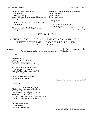#### **John Saw Duh Numbuh** arr. André J. Thomas

Oh, John saw, John saw duh numbuh Comin up on high John saw duh numbuh John saw duh numbuh dat no man could numbuh (x3) Comin up on high

John saw duh hundred and forty four thousan', (x3) Comin up on high

Tell John not to call duh roll till I git dere, (x3) Comin up on high

John saw duh numbuh dat no man could numbuh Comin from the east Comin from the west Comin from the north Comin from the south Comin up on high.

Oh, John saw, John saw duh numbuh Oh, comin up on high — *Text drawn from the African American spiritual, "John Saw Duh Numbuh"*

## INTERMISSION

## VIKING CHORUS, ST. OLAF CHOIR (TENORS AND BASSES), UNIVERSITY OF MICHIGAN MEN'S GLEE CLUB MARK STOVER, *CONDUCTOR*

**To Repair** The Separation of the Separation of the Separation of Testa Yohannes Wondemagegnehu Tesfa Wondemagegnehu, *preacher*; John Marinan, *percussion*; Will Rand, *piano*

#### **I. Truth**

America, it is to thee, Thou boasted land of liberty,— It is to thee I raise my song, Thou land of blood, and crime, and wrong.

Chained on your blood-bemoistened sod, Cringing beneath a tyrant's rod, Stripped of those rights which Nature's God Bound to a petty tyrant's nod.

Bequeathed to all the human race, Because he wears a paler face.

*—Text drawn from "America" by James Monroe Whitfield*

### **II. Investment**

Lo . . . the rich loam is Black like his hands. The baby I hold in my arms is a Black baby. Today the coalman brought me coal. sixteen dollars a ton is the price I pay for coal.-- Costly fuel . . . though they say: If it is buried deep enough and lies hidden long enough 'Twill be no longer coal but diamonds. . . .

Jesus, My black Baby looks at me. His eyes are like coals, They shine like diamonds.

— *Text drawn from "Black Baby" by Anita Scott Coleman*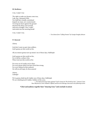#### **III. Resilience**

I rise, I wake! I rise

The right to make my dreams come true, I ask, nay, I demand of life, Nor shall fate's deadly contraband Impede my steps, nor countermand; Too long my heart against the ground Has beat the dusty years around, And now at length, I rise, I wake! And stride into the morning break!

I rise, I wake! I rise.

*— Text drawn from "Calling Dreams" by Georgia Douglas Johnson*

#### **IV. Renewal**

Liberty

God don't want no part-time soldiers, God's gonna set this world on fire.

All you sinners gonna turn up missin' one of these days, Hallelujah

God's gonna set this world on fire, For it will be a refiner's fire, When God sets this world on fire

For every act of cruelty you've done, For every groan which you have from him wrung. For every infamy by him endured, He will you all repay, be thou assured

Liberty, Lukango!

We're gonna climb Jacob's ladder one of these days, Hallelujah We are climbing Jacob's ladder, Soldiers of the cross.

*— Text drawn from the Negro spiritual "God's Gonna Set This World on Fire"; "America*" *from*  Race Rhymes *by Carrie Williams Clifford; and the term* lukongo, *discussed in the following section*

*\*Choir and audience together hum "Amazing Grace" and conclude in unison*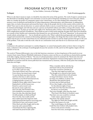## PROGRAM NOTES & POETRY

by Dan Walden, University of Michigan

**To Repair** The Testa Wondemagegnehu **Tesfa Wondemagegnehu** Testa Wondemagegnehu

When we ask what it means to repair, we should be clear about the terms of the question. The work of repair is carried out in the aftermath of a breaking. Repair is not restoration: we do not seek to bring back something as it was in the past. Indeed, when we consider the project of community repair in the United States, we are often dealing with communities whose memory is not of wholeness and health but of violent dispossession, dehumanization, and enslavement. In asking about repair, then, we look at the present and toward the future: what do the people who live in this country with us need to be whole? Time runs in only one direction: we cannot unbreak a limb or uncut a wound. But bones can be set and wounds can be stitched and bandaged, and with time and care a person can heal both without and within, as long as life remains. That caveat is a heavy one. So many are not alive who ought to be: dead from police violence, from uninvestigated murders, from AIDS complications and lack of healthcare. Their deaths are part of what needs repairing: the gaps where their lives should be are wounds in their families and communities that demand our care and attention. The word "reparations" in the present day sounds radical, and perhaps it is — but we should ask ourselves why. What is radical about giving people and communities, ravaged and traumatized by centuries of alternating exploitation and neglect, the things that they need to heal? This sounds radical only because we in the United States do not ordinarily permit ourselves to ask the simple question that gets to the root of the problem. Tesfa asks it with this work: what do our communities need, and what do we as Americans need, to repair?

#### **I. Truth**

Confession is the spiritual counterpart to a medical diagnosis: we cannot heal properly unless we know what is wrong. For many, confession is the archetype of autobiography because the narrative of a life, and of our life together, begins with the narrative of our sin.

The words of Thomas Jefferson give voice to the bad American conscience: we have long known of the moral rot at our country's heart. James Monroe Whitfield's indictment of America comes out first as a cry and then as a hymn before pausing at the false-ringing, unresolved "liberty." The tune of colonial patriotism cannot be sustained: the "blood and crime and wrong" that stain our history need to be confessed and confronted. Heptametric measures bring urgency and excess to Whitfield's accusations until the chorus pulls back into restrained and icy harmony, while the unruly piano that undergirds them does not forget.

America, it is to thee, Thou boasted land of liberty,— It is to thee I raise my song, Thou land of blood, and crime, and wrong. From whence has issued many a band To tear the black man from his soil, And force him here to delve and toil; Chained on your blood-bemoistened sod, Cringing beneath a tyrant's rod, Stripped of those rights which Nature's God Bequeathed to all the human race, Bound to a petty tyrant's nod, Because he wears a paler face. Was it for this, that freedom's fires Were kindled by your patriot sires? Was it for this, they shed their blood, On hill and plain, on field and flood? Was it for this, that wealth and life Were staked upon that desperate strife, Which drenched this land for seven long years With blood of men, and women's tears? When black and white fought side by side, Upon the well-contested field,— Turned back the fierce opposing tide, And made the proud invader yieldWhen, wounded, side by side they lay, And heard with joy the proud hurrah From their victorious comrades say That they had waged successful war, The thought ne'er entered in their brains That they endured those toils and pains, To forge fresh fetters, heavier chains For their own children, in whose veins Should flow that patriotic blood, So freely shed on field and flood. Oh no; they fought, as they believed, For the inherent rights of man; But mark, how they have been deceived By slavery's accursed plan. They never thought, when thus they shed Their heart's best blood, in freedom's cause That their own sons would live in dread, Under unjust, oppressive laws: That those who quietly enjoyed The rights for which they fought and fell, Could be the framers of a code, That would disgrace the fiends of hell! Could they have looked, with prophet's ken, Down to the present evil time, Seen free-born men, uncharged with crime,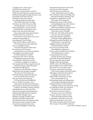Consigned unto a slaver's pen,— Or thrust into a prison cell, With thieves and murderers to dwell— While that same flag whose stripes and stars Had been their guide through freedom's wars As proudly waved above the pen Of dealers in the souls of men! Or could the shades of all the dead, Who fell beneath that starry flag, Visit the scenes where they once bled, On hill and plain, on vale and crag, By peaceful brook, or ocean's strand, By inland lake, or dark green wood, Where'er the soil of this wide land Was moistened by their patriot blood,— And then survey the country o'er, From north to south, from east to west, And hear the agonizing cry Ascending up to God on high, From western wilds to ocean's shore, The fervent prayer of the oppressed; The cry of helpless infancy Torn from the parent's fond caress By some base tool of tyranny, And doomed to woe and wretchedness; The indignant wail of fiery youth, Its noble aspirations crushed, Its generous zeal, its love of truth, Trampled by tyrants in the dust; The aerial piles which fancy reared, And hopes too bright to be enjoyed, Have passed and left his young heart seared, And all its dreams of bliss destroyed. The shriek of virgin purity, Doomed to some libertine's embrace, Should rouse the strongest sympathy Of each one of the human race; And weak old age, oppressed with care, As he reviews the scene of strife, Puts up to God a fervent prayer, To close his dark and troubled life. The cry of fathers, mothers, wives, Severed from all their hearts hold dear, And doomed to spend their wretched lives In gloom, and doubt, and hate, and fear; And manhood, too, with soul of fire, And arm of strength, and smothered ire, Stands pondering with brow of gloom, Upon his dark unhappy doom, Whether to plunge in battle's strife, And buy his freedom with his life, And with stout heart and weapon strong, Pay back the tyrant wrong for wrong, Or wait the promised time of God, When his Almighty ire shall wake,

And smite the oppressor in his wrath, And hurl red ruin in his path, And with the terrors of his rod, Cause adamantine hearts to quake. Here Christian writhes in bondage still, Beneath his brother Christian's rod, And pastors trample down at will, The image of the living God. While prayers go up in lofty strains, And pealing hymns ascend to heaven, The captive, toiling in his chains, With tortured limbs and bosom riven, Raises his fettered hand on high, And in the accents of despair, To him who rules both earth and sky, Puts up a sad, a fervent prayer, To free him from the awful blast Of slavery's bitter galling shame— Although his portion should be cast With demons in eternal flame! Almighty God! It is this they call The land of liberty and law; Part of its sons in baser thrall Than Babylon or Egypt saw— Worse scenes of rapine, lust and shame, Than Babylonian ever knew, Are perpetrated in the name Of God, the holy, just, and true; And darker doom than Egypt felt, May yet repay this nation's guilt. Almighty God! thy aid impart, And fire anew each faltering heart, And strengthen every patriot's hand, Who aims to save our native land. We do not come before thy throne, With carnal weapons drenched in gore, Although our blood has freely flown, In adding to the tyrant's store. Father! before thy throne we come, Not in the panoply of war, With pealing trump, and rolling drum, And cannon booming loud and far; Striving in blood to wash out blood, Through wrong to seek redress for wrong; For while thou'rt holy, just and good, The battle is not to the strong; But in the sacred name of peace, Of justice, virtue, love and truth, We pray, and never mean to cease, Till weak old age and fiery youth In freedom's cause their voices raise, And burst the bonds of every slave; Till, north and south, and east and west, The wrongs we bear shall be redressed. *— James Monroe Whitfield, "America*"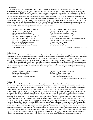#### **II. Investment**

Before anything else, to be human is to be born of other humans. We are invested from birth and before with the hopes, the anxieties, the sorrows, and the very bodily substance of those who beget and bear us. This continual investment, flowering, and reinvestment is the life story of any people — what, then, does that mean for people whose care and cultivation of their children happens under the constant threat of state violence? They send children out into the world: the melodic line asks Jesus to walk with them and is answered immediately by the "motherless child." The words of Anita Scott Coleman ask us what will happen to this black baby whose skin is like coal, the "costly fuel" that, if buried and hidden, will "be no longer coal, but diamonds," flung into the sky by the ascending piano line like the Star of Bethlehem that marks the way to salvation. The cries to Jesus draw equally from spiritual and from Vic Mensa's "16 Shots," building to a crescendo that is at once prayer and plea and indictment: who walked with Laquan McDonald or Trayvon Martin or Tamir Rice? All were babies once, in whom parents invested their love. Perhaps their eyes, too, shone like diamonds.

The baby I hold in my arms is a black baby. Today I set him in the sun and Sunbeams danced on his head. The baby I hold in my arms is a black baby. I toil, and I cannot always cuddle him. I place him on the ground at my feet. He presses the warm earth with his hands, He lifts the sand and laughs to see It flow through his chubby fingers. I watch to discern which are his hands, Which is the sand....

Lo . . . the rich loam is black like his hands. The baby I hold in my arms is a black baby. Today the coal-man brought me coal. sixteen dollars a ton is the price I pay for coal.-- Costly fuel . . . though they say: -- If it is buried deep enough and lies hidden long enough 'Twill no longer be coal but diamonds. . . . My black baby looks at me. His eyes are like coals, They shine like diamonds. *— Anita Scott Coleman, "Black Baby*"

#### **III. Resilience**

The resilience of Black communities is much admired by members of the press. What they usually praise under this name is the willingness to bear countless indignities and abuses in relative silence; those who claim their dignity out loud without any conditions rarely win such applause. And yet, as the rising in both voices and lyrics suggests, such dignity in the end is irrepressible. The words of Georgia Douglas Johnson — "ask, nay…demand of life" "the right to make [her] dreams come true," — will brook no opposition. The black baby's musical theme returns to extend this demand on behalf of future generations as it descends to confront the weight of history: "Too long my heart against the ground / Has beat the dusty years around," until "at last" it turns its gaze to the future to "stride into the morning break," toward a future higher and brighter than anything we can imagine.

| The right to make my dreams come true, | Too long my heart against the ground       |
|----------------------------------------|--------------------------------------------|
| I ask, nay, I demand of life,          | Has beat the dusty years around,           |
| Nor shall fate's deadly contraband     | And now at length I rise! I wake!          |
| Impede my steps, nor countermand;      | And stride into the morning break!         |
|                                        | — Georgia Douglas Johnson, "Calling Dream" |

#### **IV. Renewal**

The time to repent is always now. Too many are suffering; too many are dead. "Ye shall not afflict any widow or fatherless child," says scripture. "If thou afflict them in any way, and they cry at all unto me, I will surely hear their cry; and my wrath shall wax hot, and I will kill you with the sword; and your wives shall be widows, and your children fatherless." The cries of the oppressed begin this last movement. What will the justice of God work on a country whose regime of police violence churns out widows and orphans by the thousands only to grind them up again to fuel the engines of capitalism? The powers of the earth sing "Liberty" to justify themselves: their liberty, they say, excuses all this blood. It's too late: judgment is here, and "God's gonna set this world on fire." The words of the apocalyptic spiritual and the music of Bach warn us against our hypocrisy: "God don't want no part-time soldiers." The incipit to Bach's chorale was put onto the gate of the Buchenwald concentration camp: we know precisely where legal regimes of deliberate cruelty lead, and what we are complicit in if we fail to oppose it. Such sinners, say the chorus, will turn up missing, and as each is snatched away they can no longer sing: all that remains is the wreckage of their works. Handel furnishes the music for the judgment, when the "refiner's fire" comes and the world is made clean. What will be lost when the fire burns away impurity and sin? Poet Carrie Williams Clifford warns us in collaboration with the chords of "Walking in the Snow" by Run the Jewels that every wrong will be reckoned. "He will you all repay: be thou assured!" There is a chance to repent even now, says the preacher. We have given account and our hearts must be changed. "Liberty" reasserts itself, but it has been exposed as an idol. In 1739, a group of enslaved Africans rebelled, setting fire to the plantations that were centers and engines of their enslavement and shouting *Lukango* ("freedom"), in their native Kikongo language: that cry takes over the whole chorus, and the heptameters of the first movement return with their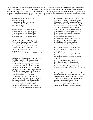structure reversed and the tables flipped, building to an ecstatic resolution. Freedom means that we all get to climb Jacob's Ladder after passing through the fire that judges us and scours us clean: liberation of the Kindom leads us to the Kingdom. What follows is wordless hymnody to the grace that comes from beyond us and holds the world in being. The work of repair needs all of us and more: it needs the grace that is more than we can be, that takes us up in its song and transfigures us until all that remains is the Love that, as St. Paul writes, will be all in all.

God's gonna set this world on fire One of these days God's gonna set this world on fire One of these days, Hallelujah One of these days

God don't want no part-time soldiers God don't want no part-time soldiers God don't want no part-time soldiers God don't want no part-time soldiers God don't want no part-time soldiers

We're gonna climb, climb Jacob's Ladder We're gonna climb, climb Jacob's Ladder One of these days, Hallelujah We're gonna climb, climb Jacob's Ladder We're gonna climb, climb Jacob's Ladder We are climbing Jacob's Ladder Soldiers of the cross.

— *Negro spiritual*, "*God's Gonna Set This World on Fire"* 

America is not another name for opportunity To all her sons! Nay, bid me not be dumb — I will be heard. Christians, I come To plead with burning eloquence of truth A brother's cause; ay, to demand, forsooth, The manhood rights of which he is denied; Too long your pretense have your acts belied. What has he done to merit your fierce hate? I charge you, speak the truth; for know, his fate Irrevocably is bound up with yours, For good or ill, as long as time endures. Torn from his native home by ruthless hands, For centuries he tilled your fruitful lands, In shameful, base, degrading slavery; Your humble, patient, loyal vassal, he — Piling your coffers high with magic gold, Himself, the while, like cattle bought and sold.

When devastating war stalked through the land, And dangers threatened you on every hand, These sons whose color you cannot forgive. Did freely shed their blood that you might live A nation, strong and great. And will you then Continue to debase, degrade, contemn Your loyal children, while with smiling face You raise disloyal ones to power and place? Is race or color crime, that for this cause You draft against the Negro unjust laws? Is race or color sin that he should be For these things treated so outrageously? O, boastful, white American, beware! It is the handiwork of God you dare Thus to despise and He will you repay

With generous measure overflowing, yea, For all the good which in his life you've wrought.

For helpful deed, or kindly, loving thought — For every act of cruelty you've done, For every groan which you have from him wrung.

For every infamy by him endured, He will you all repay, be thou assured! Not here alone ere time shall cease to be, But likewise There, through all eternity. — *Carrie Williams Clifford*, "*America" from* Race Rhymes

*Lukango*: a Kikongo word shouted during the 1739 Stono Rebellion. Scholar Henry Louis Gates wrote this about the uprising, "They paraded down King's Highway, according to sources, carrying banners and shouting, 'Liberty!' *lukango* in their native Kikongo, a word that would have expressed the English ideals embodied in liberty and, perhaps, salvation.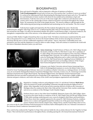## BIOGRAPHIES



Born and raised in Memphis, with an impressive collection of opinions on barbecue, **Tesfa Wondemagegnehu** learned early on from one of his mentors that "excellence is never an accident." It is achieved by exploring and freely disseminating the blessings bestowed upon each of us. Through the love and dedication of music teachers with whom he has studied and an abundance of grit and determination, Tesfa has risen to be one of the most sought-after conductors and educators in the country and is on the cutting edge of music-related social justice movements throughout the United States. He summarizes his work in this simple doctrine: "We must be willing to walk through the fire while embracing and practicing unconditional and unrelenting care for one another. The rest is noise!"

Tesfa has been taught and inspired by all of his students throughout his career. His favorite

student/teacher, daughter Aïda Hope, born in 2017, is influencing him daily with new developments, all the while wrapping him around her tiny finger. It is still to be determined whether she will be a world-famous singer, a renowned conductor, the intergalactic compassionate ruler of the universe, or the ultimate grill master, but nevertheless, she will be fierce.

American Public Media's Vaughn Ormseth has this to say about Tesfa: "He believes choral music transformed his life, saved him, so his passion for it is on a cellular level. He loves the formal tradition of the art form, but plugs his own kind of electricity directly into it. He has a millennial's impatience with systems." And so, with music's undeniable power and potential to save lives and the impatience to wait for others to make change, Tesfa will continue to transform the world with his vision of abundant education, justice, joy and Grace.



**Anton Armstrong**, Tosdal Professor of Music at St. Olaf College, became the fourth conductor of the St. Olaf Choir in 1990. He is a graduate of St. Olaf College and earned advanced degrees at the University of Illinois and Michigan State University. He is editor of a multicultural choral series for Earthsongs Publications and co-editor (with John Ferguson) of the revised St. Olaf Choral Series for Augsburg Fortress Publishers. In June 1998, he began his tenure as founding conductor of the Oregon Bach Festival Stangeland Family Youth Choral Academy.

In January 2006, Baylor University selected Anton Armstrong from a field of 118 distinguished nominees to receive the Robert Foster Cherry

Award for Great Teaching and spent February–June 2007 in residency at Baylor University as a visiting professor. In October 2009, he received the Distinguished Alumni Award from Michigan State University. In June 2013, Dr. Armstrong received the Saltzman Award from the Oregon Bach Festival. The festival's highest honor, the Saltzman Award is bestowed upon individuals who have provided exceptional levels of leadership to the organization. Dr. Armstrong is a highly sought-after clinician and guest conductor, and works with many of the world's most prestigious organizations and ensembles.



Regarded as a leading conductor and pedagogue in the U.S. and abroad, Professor **Mark Stover** shares his passion for people and building community through pursuing the highest levels of artistry. Since September 2018, he has served as associate director of choirs at the University of Michigan where he conducts the Men's Glee Club and the University Choir, teaches conducting, and serves as conductor of the Michigan Youth Chamber Singers.

Professor Stover came to Ann Arbor from Northfield, Minnesota, home of St. Olaf College, where he served on the music faculty as conductor of the St. Olaf Chapel Choir (SATB) and Viking Chorus (TTBB) while teaching conducting and a new course he designed, titled Music and Social Justice. Both of these choirs have regularly appeared in the annual St. Olaf Christmas Festival, a tradition held for over a century and regarded around the world as one of the great music festivals of the season. Professor Stover led the Chapel Choir, Viking Chorus, and the Festival Mass Choir of over

400 voices in the St. Olaf Christmas Festival presented at Orchestra Hall in Minneapolis at the 2017 National Convention of the American Choral Conductors Association (ACDA).

Since 2018, he has conducted the Together In Hope Choir and now holds the role as artistic director for the Together In Hope Project. This work has led to performances throughout Rome, including opening the 17th Annual International Festival of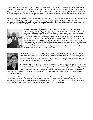Sacred Music and Art at the Papal Basilica St. Paul Outside the Walls. In July of 2022, Stover will lead the Together In Hope Choir and TrondheimSolistene in the world premiere of "The Stranger" (composed by Kim André Arnesen to raise global awareness about refugees and displaced persons) at the Trondheim International Olavsfest, the largest annual cultural event in Norway. Additionally, Stover served for multiple seasons as the artistic director of Magnum Chorum, a semi-professional choral ensemble of over 60 voices based in Minneapolis-St. Paul.

Professor Stover holds degrees from St. Olaf College and Luther Seminary, where he studied conducting and choral repertoire under the mentorship of Dr. Anton Armstrong and Dr. Paul Westermeyer. In addition to his professorial role at the University of Michigan, he is currently pursuing a doctorate of musical arts degree at Michigan State University, studying with Dr. David Rayl, Dr. Sandra Snow, and Dr. Jonathan Reed.



**Bryan Anthony Ijames**, a native of North Carolina, is currently a doctor of musical arts in conducting pre-candidate at the University of Michigan and will serve as assistant conductor of the University of Michigan Mens' Glee Club's for the 2021–2022 academic year. Prior to coming to Michigan, Bryan was the director of choral activities for five years at the Park Vista Community High School. His previous conducting experience includes The Ebony Chorale in Palm Beach, Florida and the Genesis Gospel Choir in High Point, North Carolina. In addition to conducting, Mr. Ijames regularly performs as a tenor soloist and is a former member of the semi-professional ensemble Expressivo. He holds degrees from Eastern Kentucky University, High Point University, and Mississippi State University, and he is an active member of the American Choral Directors Association, the National Association of Negro Musicians, the National Association for Music Education, and Phi Mu Alpha Sinfonia Fraternity.



**Joshua Marzan** is a pianist, opera coach, and chamber musician based in Ann Arbor. He is a staff pianist at the University of Michigan School of Music, Theatre, and Dance, working with the choral conducting, voice, winds, brass, and percussion departments. He plays in countless rehearsals, lessons, studio classes, guest master classes, recordings, performances, degree recitals, and many more projects with students, faculty, and staff members for the last eight years.

An active performer outside of the University of Michigan, he gives concerts and recitals with many local musicians, including members of the Ann Arbor Symphony Orchestra and Detroit Symphony Orchestra. A frequent audition and competition pianist, he plays for organizations such as the Southeast Michigan Flute Association, Detroit Youth Symphony Orchestra, William C. Byrd Young Artist Competition,

George Shirley Competition, Verdi Opera Theatre, Michigan Opera Theatre, and the Metropolitan Opera Regional and District competitions.

Before coming to Michigan, he completed an M.M. and G.D. in collaborative piano at the New England Conservatory and a B.M. in piano performance at Virginia Commonwealth University. He has also attended Music Academy of the West and Tanglewood Music Center as a vocal piano fellow and served on faculty at the Castleton Festival. In 2017, he graduated with a D.M.A. in collaborative piano from the University of Michigan, studying with Martin Katz.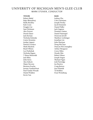## UNIVERSITY OF MICHIGAN MEN'S GLEE CLUB MARK STOVER, *CONDUCTOR*

### **TENOR**

Robert Bakal Rajiv Bharadwaj Reilly Buckley Kyle Coon Fengjin Cui Sam Dickman Alex Forrest Derek Glaser Jack Kernan Nicholas Kolenda Carter Krumins Jordan Lippert Patrick Lovelace Mark Mackela Brad O'Brien Leo Parikshak Nicholas Ragon T-Bone Rehwoldt Jack Riley John Serra Alex Sobeck Major Stevens Brenton Svacha Jeremy VandenHout Paul Vander Woude Daniel Walden Kevin Yan

#### **BASS**

Joshua Cho Cole Christians Joseph Dooley Jacob Emmelot Daniel Fidler Jack Gagnon Dominic Gaines Daniel Hannapel Donovan Jewell Matthew Lichtinger Jonathan Lin John Marinan Doug McClure Duncan McConaughey Arthur Mengozzi Corey Miles Denaly Min Robert Miner Joseph Negen Michael Ngan Josh Partridge Joe Restivo Craig Rettew Jess Schmidt TJ Striblen Evan Weissburg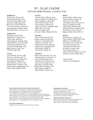## ST. OLAF CHOIR ANTON ARMSTRONG, *CONDUCTOR*

#### **SOPRANO I**

Emma Auby, *Monona, Wis.* \*Elsa Buck, *Rosemount, Minn.* Maren Hrivnak, *Madison, Miss.* Kayli Keim, *Millersburg, Ohio* •Shae Lime, *Treasure Island, Fla.* Veronica McClennen, *Atlanta, Ga.* Ileana Sanchez, *Woodbury, Minn.* Meredith Wallace, *New York, N.Y.*

#### **SOPRANO II**

India Bock, *Seattle, Wash.* Abigail Davis, *Cordova, Tenn.* Taylor Dirks, *DeKalb, Ill.* Abby Engbrecht, *Faribault, Minn.* Caroline Flaten, *Prior Lake, Minn.* Olivia Inberg, *Magnolia, Texas* Emma May, *Minneapolis, Minn.* •Paige Romero, *Frisco, Texas*

Lily Scott, *Elgin, Okla.*

### **ALTO I**

Laura Albrecht, *San Jose, Calif.* Josie Lynn, *Mechanicsville, Va.* Hannah Paulson, *Woodstock, Ill.* Sarah Shapiro, *Wilmette, Ill.* Emma Silvestri, *Lawrence, Kan.* \*Maddie Smoot, *Longmont, Colo.* Joanna Thuesen, *Indianapolis, Ind.* Sophie Vogel, *Stillwater, Minn.*

#### **ALTO II**

Caroline Allessi, *Stillwater, Minn.* Synneva Bratland, *Northfield, Minn.* Maria Coughlan, *St. Paul, Minn.* Jessica Horst, *Excelsior, Minn.* Alexis Johnston, *Wheaton, Ill.* Audrey Lane-Getaz, *Northfield, Minn.* Ashlyn May, *Anza, Calif.* Mila New, *Eagan, Minn.* •Courtney Talken, *Pleasant Hill, Mo.*

#### **TENOR I**

Julian Colville, *Ipswich, Mass.* •Logan Combs, *Haysville, Kan.* Logan Cyr, *Minneapolis, Minn.* Kyle Dacon, *Garland, Texas* William Fecko, *State College, Pa.* Cullen Hauck, *Northfield, Minn.* Mark Jesmer, *DeKalb, Ill.* Noah Smith, *Glasgow, Ky.*

#### **TENOR II**

- \*Mason DeGrazia, *Iowa City, Iowa* Alexander Famous, *Princeton, N.J.* Caleb Griffiths, *Edina, Minn.* Aidan Kocur, *Fort Worth, Texas* Aaron Looney, *Bridgewater, Va.* Jake Olson, *Lake Elmo, Minn.*
- •Samuel Rivera, *Windsor, Conn.* Richie Spahn, *DeKalb, Ill.* Blake Wieseler, *Yankton, S.D.*

#### **BASS I**

James Faulkner, *Edgewood, Ky.* Nicholas Hinson, *Tampa, Fla.* Ethan Jones, *Alna, Maine* Christopher Kopits, *Princeton, N.J.* Seng Lor, *Maplewood, Minn.* Chris Martin, *Berkeley, Calif.* William McIntyre, *Faribault, Minn.* \*Austin Meyer, *Sioux Falls, S.D.*

•Eugene Sandel, *Browns Mills, N.J.*

#### **BASS II**

Jayden Browne, *Lancaster, Pa.* Peter Hoffman, *Walla Walla, Wash.* Elijah Leer, *Northfield, Minn.* David McGowan, *Nichols, Iowa* Cees Postema, *Fargo, N.D.* Noah Root, *Burnsville, Minn.* Jack Slavik, *Andover, Minn.* Evan Strong, *Fairfax, Va.* Aedan Thornton, *Maple Grove, Minn.* Nicholas Van Loh, *Duluth, Minn.*

\*Section leader •Officers and management

#### **MUSIC ORGANIZATIONS AND COLLEGE RELATIONS**

Michael Kyle '85, *vice president for enrollment and college relations* Jean Parish '88, *director of college relations for music organizations*  Terra Widdifield '95, *associate director of music organizations*  Connor Smith, *assistant director of music organizations for audience development* Sarah Gingerich '11*, assistant director of music organizations for project management* Courtney Kleftis, *associate librarian for ensembles & performing rights* Kiernan Bartlett '21, *arts management intern for production & concert management* Ella Harpstead '20, *arts management intern for marketing & touring*

#### **FINE ARTS ADMISSIONS**

Molly Boes Ganza '08, *associate dean of fine arts recruitment*

#### **DEPARTMENT OF MUSIC**

Kathryn Ananda-Owens, *department chair* David Carter, *department vice-chair* Barb Barth, *academic administrative assistant* Lisa McDermott, *academic administrative assistant* Jason Bystrom, *instrument coordinator*

#### **BROADCAST/MEDIA SERVICES**

Jeffrey O'Donnell '02, *director of broadcast/media services* Sean Tonko, *associate director of event operations* Rebecca Beam '18, *assistant director of production*